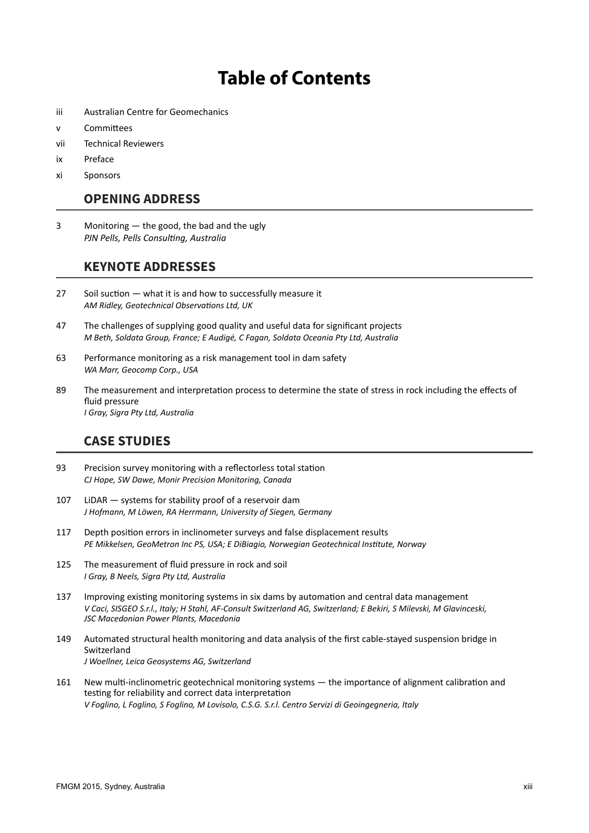# **Table of Contents**

- iii Australian Centre for Geomechanics
- v Committees
- vii Technical Reviewers
- ix Preface
- xi Sponsors

#### **OPENING ADDRESS**

3 Monitoring — the good, the bad and the ugly *PJN Pells, Pells Consulting, Australia* 

#### **KEYNOTE ADDRESSES**

- 27 Soil suction what it is and how to successfully measure it *AM Ridley, Geotechnical Observations Ltd, UK*
- 47 The challenges of supplying good quality and useful data for significant projects *M Beth, Soldata Group, France; E Audigé, C Fagan, Soldata Oceania Pty Ltd, Australia*
- 63 Performance monitoring as a risk management tool in dam safety *WA Marr, Geocomp Corp., USA*
- 89 The measurement and interpretation process to determine the state of stress in rock including the effects of fluid pressure *I Gray, Sigra Pty Ltd, Australia*

#### **CASE STUDIES**

- 93 Precision survey monitoring with a reflectorless total station *CJ Hope, SW Dawe, Monir Precision Monitoring, Canada*
- 107 LiDAR systems for stability proof of a reservoir dam *J Hofmann, M Löwen, RA Herrmann, University of Siegen, Germany*
- 117 Depth position errors in inclinometer surveys and false displacement results *PE Mikkelsen, GeoMetron Inc PS, USA; E DiBiagio, Norwegian Geotechnical Institute, Norway*
- 125 The measurement of fluid pressure in rock and soil *I Gray, B Neels, Sigra Pty Ltd, Australia*
- 137 Improving existing monitoring systems in six dams by automation and central data management *V Caci, SISGEO S.r.l., Italy; H Stahl, AF-Consult Switzerland AG, Switzerland; E Bekiri, S Milevski, M Glavinceski, JSC Macedonian Power Plants, Macedonia*
- 149 Automated structural health monitoring and data analysis of the first cable-stayed suspension bridge in Switzerland *J Woellner, Leica Geosystems AG, Switzerland*
- 161 New multi-inclinometric geotechnical monitoring systems the importance of alignment calibration and testing for reliability and correct data interpretation *V Foglino, L Foglino, S Foglino, M Lovisolo, C.S.G. S.r.l. Centro Servizi di Geoingegneria, Italy*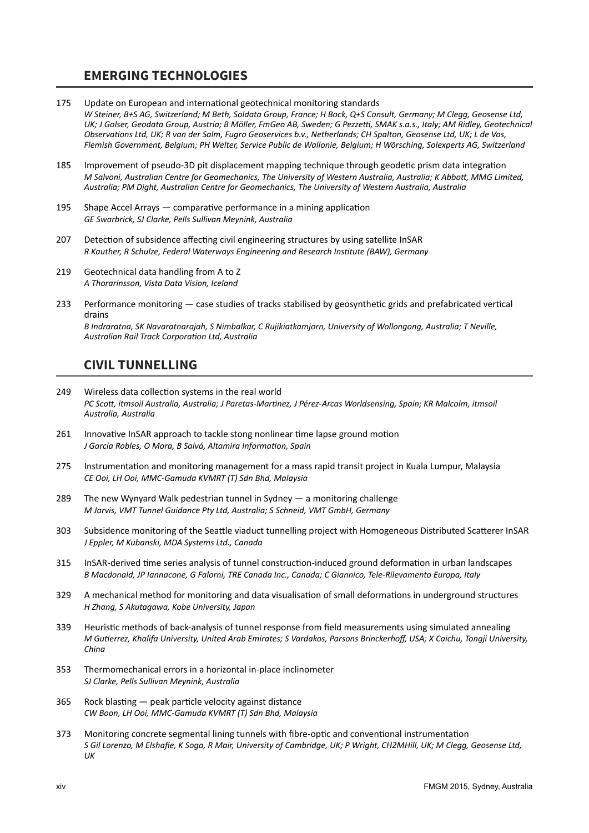# **EMERGING TECHNOLOGIES**

- 175 Update on European and international geotechnical monitoring standards *W Steiner, B+S AG, Switzerland; M Beth, Soldata Group, France; H Bock, Q+S Consult, Germany; M Clegg, Geosense Ltd, UK; J Golser, Geodata Group, Austria; B Möller, FmGeo AB, Sweden; G Pezzetti, SMAK s.a.s., Italy; AM Ridley, Geotechnical Observations Ltd, UK; R van der Salm, Fugro Geoservices b.v., Netherlands; CH Spalton, Geosense Ltd, UK; L de Vos, Flemish Government, Belgium; PH Welter, Service Public de Wallonie, Belgium; H Wörsching, Solexperts AG, Switzerland*
- 185 Improvement of pseudo-3D pit displacement mapping technique through geodetic prism data integration *M Salvoni, Australian Centre for Geomechanics, The University of Western Australia, Australia; K Abbott, MMG Limited, Australia; PM Dight, Australian Centre for Geomechanics, The University of Western Australia, Australia*
- 195 Shape Accel Arrays comparative performance in a mining application *GE Swarbrick, SJ Clarke, Pells Sullivan Meynink, Australia*
- 207 Detection of subsidence affecting civil engineering structures by using satellite InSAR *R Kauther, R Schulze, Federal Waterways Engineering and Research Institute (BAW), Germany*
- 219 Geotechnical data handling from A to Z *A Thorarinsson, Vista Data Vision, Iceland*
- 233 Performance monitoring case studies of tracks stabilised by geosynthetic grids and prefabricated vertical drains *B Indraratna, SK Navaratnarajah, S Nimbalkar, C Rujikiatkamjorn, University of Wollongong, Australia; T Neville, Australian Rail Track Corporation Ltd, Australia*

## **CIVIL TUNNELLING**

- 249 Wireless data collection systems in the real world PC Scott, itmsoil Australia, Australia; J Paretas-Martinez, J Pérez-Arcas Worldsensing, Spain; KR Malcolm, itmsoil *Australia, Australia*
- 261 Innovative InSAR approach to tackle stong nonlinear time lapse ground motion *J García Robles, O Mora, B Salvá, Altamira Information, Spain*
- 275 Instrumentation and monitoring management for a mass rapid transit project in Kuala Lumpur, Malaysia *CE Ooi, LH Ooi, MMC-Gamuda KVMRT (T) Sdn Bhd, Malaysia*
- 289 The new Wynyard Walk pedestrian tunnel in Sydney a monitoring challenge *M Jarvis, VMT Tunnel Guidance Pty Ltd, Australia; S Schneid, VMT GmbH, Germany*
- 303 Subsidence monitoring of the Seattle viaduct tunnelling project with Homogeneous Distributed Scatterer InSAR *J Eppler, M Kubanski, MDA Systems Ltd., Canada*
- 315 InSAR-derived time series analysis of tunnel construction-induced ground deformation in urban landscapes *B Macdonald, JP Iannacone, G Falorni, TRE Canada Inc., Canada; C Giannico, Tele-Rilevamento Europa, Italy*
- 329 A mechanical method for monitoring and data visualisation of small deformations in underground structures *H Zhang, S Akutagawa, Kobe University, Japan*
- 339 Heuristic methods of back-analysis of tunnel response from field measurements using simulated annealing *M Gutierrez, Khalifa University, United Arab Emirates; S Vardakos, Parsons Brinckerhoff, USA; X Caichu, Tongji University, China*
- 353 Thermomechanical errors in a horizontal in-place inclinometer *SJ Clarke, Pells Sullivan Meynink, Australia*
- 365 Rock blasting peak particle velocity against distance *CW Boon, LH Ooi, MMC-Gamuda KVMRT (T) Sdn Bhd, Malaysia*
- 373 Monitoring concrete segmental lining tunnels with fibre-optic and conventional instrumentation *S Gil Lorenzo, M Elshafie, K Soga, R Mair, University of Cambridge, UK; P Wright, CH2MHill, UK; M Clegg, Geosense Ltd, UK*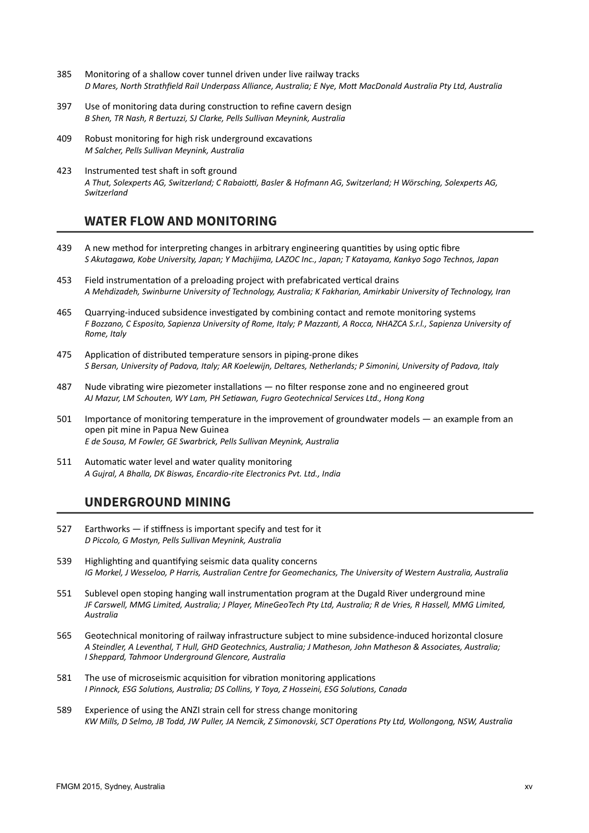- 385 Monitoring of a shallow cover tunnel driven under live railway tracks *D Mares, North Strathfield Rail Underpass Alliance, Australia; E Nye, Mott MacDonald Australia Pty Ltd, Australia*
- 397 Use of monitoring data during construction to refine cavern design *B Shen, TR Nash, R Bertuzzi, SJ Clarke, Pells Sullivan Meynink, Australia*
- 409 Robust monitoring for high risk underground excavations *M Salcher, Pells Sullivan Meynink, Australia*
- 423 Instrumented test shaft in soft ground *A Thut, Solexperts AG, Switzerland; C Rabaiotti, Basler & Hofmann AG, Switzerland; H Wörsching, Solexperts AG, Switzerland*

### **WATER FLOW AND MONITORING**

- 439 A new method for interpreting changes in arbitrary engineering quantities by using optic fibre *S Akutagawa, Kobe University, Japan; Y Machijima, LAZOC Inc., Japan; T Katayama, Kankyo Sogo Technos, Japan*
- 453 Field instrumentation of a preloading project with prefabricated vertical drains *A Mehdizadeh, Swinburne University of Technology, Australia; K Fakharian, Amirkabir University of Technology, Iran*
- 465 Quarrying-induced subsidence investigated by combining contact and remote monitoring systems *F Bozzano, C Esposito, Sapienza University of Rome, Italy; P Mazzanti, A Rocca, NHAZCA S.r.l., Sapienza University of Rome, Italy*
- 475 Application of distributed temperature sensors in piping-prone dikes *S Bersan, University of Padova, Italy; AR Koelewijn, Deltares, Netherlands; P Simonini, University of Padova, Italy*
- 487 Nude vibrating wire piezometer installations no filter response zone and no engineered grout *AJ Mazur, LM Schouten, WY Lam, PH Setiawan, Fugro Geotechnical Services Ltd., Hong Kong*
- 501 Importance of monitoring temperature in the improvement of groundwater models an example from an open pit mine in Papua New Guinea *E de Sousa, M Fowler, GE Swarbrick, Pells Sullivan Meynink, Australia*
- 511 Automatic water level and water quality monitoring *A Gujral, A Bhalla, DK Biswas, Encardio-rite Electronics Pvt. Ltd., India*

## **UNDERGROUND MINING**

- 527 Earthworks if stiffness is important specify and test for it *D Piccolo, G Mostyn, Pells Sullivan Meynink, Australia*
- 539 Highlighting and quantifying seismic data quality concerns *IG Morkel, J Wesseloo, P Harris, Australian Centre for Geomechanics, The University of Western Australia, Australia*
- 551 Sublevel open stoping hanging wall instrumentation program at the Dugald River underground mine *JF Carswell, MMG Limited, Australia; J Player, MineGeoTech Pty Ltd, Australia; R de Vries, R Hassell, MMG Limited, Australia*
- 565 Geotechnical monitoring of railway infrastructure subject to mine subsidence-induced horizontal closure *A Steindler, A Leventhal, T Hull, GHD Geotechnics, Australia; J Matheson, John Matheson & Associates, Australia; I Sheppard, Tahmoor Underground Glencore, Australia*
- 581 The use of microseismic acquisition for vibration monitoring applications *I Pinnock, ESG Solutions, Australia; DS Collins, Y Toya, Z Hosseini, ESG Solutions, Canada*
- 589 Experience of using the ANZI strain cell for stress change monitoring *KW Mills, D Selmo, JB Todd, JW Puller, JA Nemcik, Z Simonovski, SCT Operations Pty Ltd, Wollongong, NSW, Australia*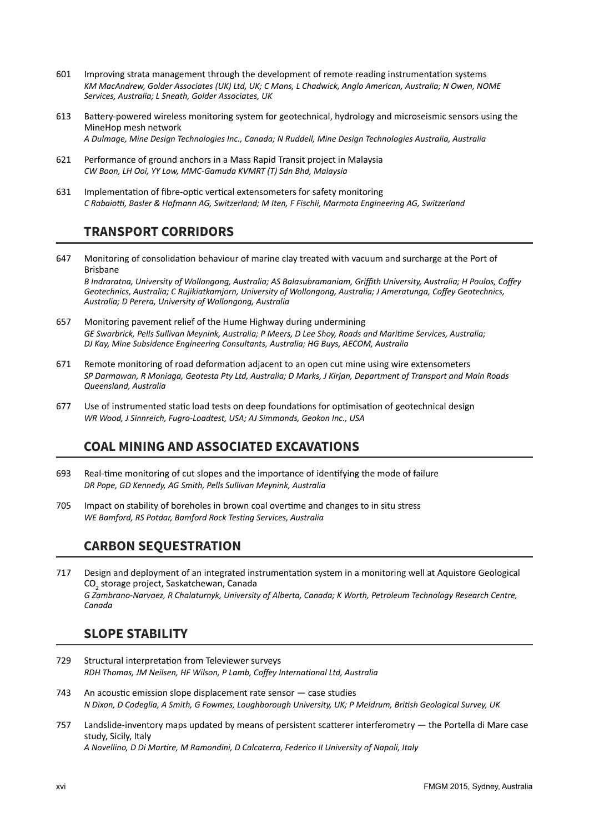- 601 Improving strata management through the development of remote reading instrumentation systems *KM MacAndrew, Golder Associates (UK) Ltd, UK; C Mans, L Chadwick, Anglo American, Australia; N Owen, NOME Services, Australia; L Sneath, Golder Associates, UK*
- 613 Battery-powered wireless monitoring system for geotechnical, hydrology and microseismic sensors using the MineHop mesh network *A Dulmage, Mine Design Technologies Inc., Canada; N Ruddell, Mine Design Technologies Australia, Australia*
- 621 Performance of ground anchors in a Mass Rapid Transit project in Malaysia *CW Boon, LH Ooi, YY Low, MMC-Gamuda KVMRT (T) Sdn Bhd, Malaysia*
- 631 Implementation of fibre-optic vertical extensometers for safety monitoring *C Rabaiotti, Basler & Hofmann AG, Switzerland; M Iten, F Fischli, Marmota Engineering AG, Switzerland*

# **TRANSPORT CORRIDORS**

647 Monitoring of consolidation behaviour of marine clay treated with vacuum and surcharge at the Port of Brisbane *B Indraratna, University of Wollongong, Australia; AS Balasubramaniam, Griffith University, Australia; H Poulos, Coffey* 

*Geotechnics, Australia; C Rujikiatkamjorn, University of Wollongong, Australia; J Ameratunga, Coffey Geotechnics, Australia; D Perera, University of Wollongong, Australia*

- 657 Monitoring pavement relief of the Hume Highway during undermining *GE Swarbrick, Pells Sullivan Meynink, Australia; P Meers, D Lee Shoy, Roads and Maritime Services, Australia; DJ Kay, Mine Subsidence Engineering Consultants, Australia; HG Buys, AECOM, Australia*
- 671 Remote monitoring of road deformation adjacent to an open cut mine using wire extensometers *SP Darmawan, R Moniaga, Geotesta Pty Ltd, Australia; D Marks, J Kirjan, Department of Transport and Main Roads Queensland, Australia*
- 677 Use of instrumented static load tests on deep foundations for optimisation of geotechnical design *WR Wood, J Sinnreich, Fugro-Loadtest, USA; AJ Simmonds, Geokon Inc., USA*

# **COAL MINING AND ASSOCIATED EXCAVATIONS**

- 693 Real-time monitoring of cut slopes and the importance of identifying the mode of failure *DR Pope, GD Kennedy, AG Smith, Pells Sullivan Meynink, Australia*
- 705 Impact on stability of boreholes in brown coal overtime and changes to in situ stress *WE Bamford, RS Potdar, Bamford Rock Testing Services, Australia*

# **CARBON SEQUESTRATION**

717 Design and deployment of an integrated instrumentation system in a monitoring well at Aquistore Geological CO<sub>2</sub> storage project, Saskatchewan, Canada *G Zambrano-Narvaez, R Chalaturnyk, University of Alberta, Canada; K Worth, Petroleum Technology Research Centre, Canada*

## **SLOPE STABILITY**

- 729 Structural interpretation from Televiewer surveys *RDH Thomas, JM Neilsen, HF Wilson, P Lamb, Coffey International Ltd, Australia*
- 743 An acoustic emission slope displacement rate sensor case studies *N Dixon, D Codeglia, A Smith, G Fowmes, Loughborough University, UK; P Meldrum, British Geological Survey, UK*
- 757 Landslide-inventory maps updated by means of persistent scatterer interferometry the Portella di Mare case study, Sicily, Italy *A Novellino, D Di Martire, M Ramondini, D Calcaterra, Federico II University of Napoli, Italy*